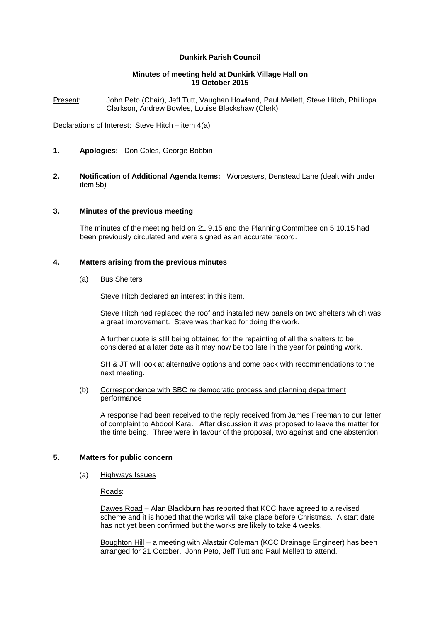# **Dunkirk Parish Council**

## **Minutes of meeting held at Dunkirk Village Hall on 19 October 2015**

Present: John Peto (Chair), Jeff Tutt, Vaughan Howland, Paul Mellett, Steve Hitch, Phillippa Clarkson, Andrew Bowles, Louise Blackshaw (Clerk)

Declarations of Interest: Steve Hitch – item 4(a)

- **1. Apologies:** Don Coles, George Bobbin
- **2. Notification of Additional Agenda Items:** Worcesters, Denstead Lane (dealt with under item 5b)

## **3. Minutes of the previous meeting**

The minutes of the meeting held on 21.9.15 and the Planning Committee on 5.10.15 had been previously circulated and were signed as an accurate record.

# **4. Matters arising from the previous minutes**

(a) Bus Shelters

Steve Hitch declared an interest in this item.

Steve Hitch had replaced the roof and installed new panels on two shelters which was a great improvement. Steve was thanked for doing the work.

A further quote is still being obtained for the repainting of all the shelters to be considered at a later date as it may now be too late in the year for painting work.

SH & JT will look at alternative options and come back with recommendations to the next meeting.

### (b) Correspondence with SBC re democratic process and planning department performance

A response had been received to the reply received from James Freeman to our letter of complaint to Abdool Kara. After discussion it was proposed to leave the matter for the time being. Three were in favour of the proposal, two against and one abstention.

## **5. Matters for public concern**

(a) Highways Issues

# Roads:

Dawes Road – Alan Blackburn has reported that KCC have agreed to a revised scheme and it is hoped that the works will take place before Christmas. A start date has not yet been confirmed but the works are likely to take 4 weeks.

Boughton Hill – a meeting with Alastair Coleman (KCC Drainage Engineer) has been arranged for 21 October. John Peto, Jeff Tutt and Paul Mellett to attend.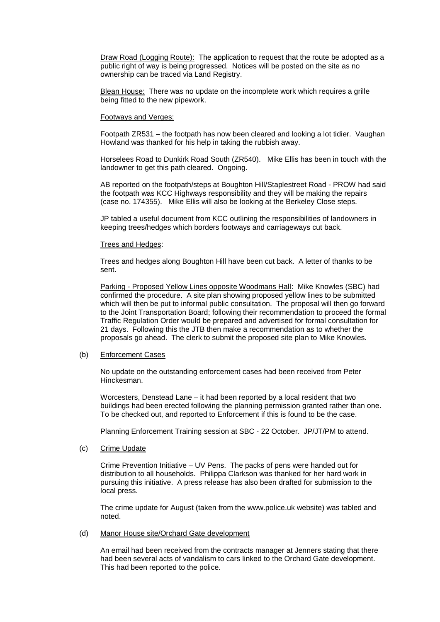Draw Road (Logging Route): The application to request that the route be adopted as a public right of way is being progressed. Notices will be posted on the site as no ownership can be traced via Land Registry.

Blean House: There was no update on the incomplete work which requires a grille being fitted to the new pipework.

#### Footways and Verges:

Footpath ZR531 – the footpath has now been cleared and looking a lot tidier. Vaughan Howland was thanked for his help in taking the rubbish away.

Horselees Road to Dunkirk Road South (ZR540). Mike Ellis has been in touch with the landowner to get this path cleared. Ongoing.

AB reported on the footpath/steps at Boughton Hill/Staplestreet Road - PROW had said the footpath was KCC Highways responsibility and they will be making the repairs (case no. 174355). Mike Ellis will also be looking at the Berkeley Close steps.

JP tabled a useful document from KCC outlining the responsibilities of landowners in keeping trees/hedges which borders footways and carriageways cut back.

#### Trees and Hedges:

Trees and hedges along Boughton Hill have been cut back. A letter of thanks to be sent.

Parking - Proposed Yellow Lines opposite Woodmans Hall: Mike Knowles (SBC) had confirmed the procedure. A site plan showing proposed yellow lines to be submitted which will then be put to informal public consultation. The proposal will then go forward to the Joint Transportation Board; following their recommendation to proceed the formal Traffic Regulation Order would be prepared and advertised for formal consultation for 21 days. Following this the JTB then make a recommendation as to whether the proposals go ahead. The clerk to submit the proposed site plan to Mike Knowles.

#### (b) Enforcement Cases

No update on the outstanding enforcement cases had been received from Peter Hinckesman.

Worcesters, Denstead Lane – it had been reported by a local resident that two buildings had been erected following the planning permission granted rather than one. To be checked out, and reported to Enforcement if this is found to be the case.

Planning Enforcement Training session at SBC - 22 October. JP/JT/PM to attend.

#### (c) Crime Update

Crime Prevention Initiative – UV Pens. The packs of pens were handed out for distribution to all households. Philippa Clarkson was thanked for her hard work in pursuing this initiative. A press release has also been drafted for submission to the local press.

The crime update for August (taken from the [www.police.uk](http://www.police.uk/) website) was tabled and noted.

#### (d) Manor House site/Orchard Gate development

An email had been received from the contracts manager at Jenners stating that there had been several acts of vandalism to cars linked to the Orchard Gate development. This had been reported to the police.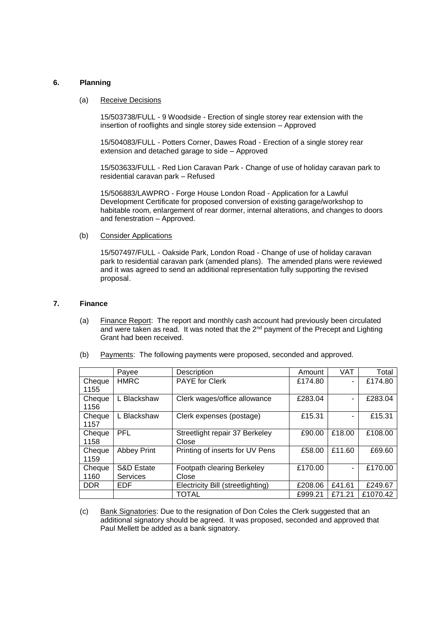## **6. Planning**

#### (a) Receive Decisions

15/503738/FULL - 9 Woodside - Erection of single storey rear extension with the insertion of rooflights and single storey side extension – Approved

15/504083/FULL - Potters Corner, Dawes Road - Erection of a single storey rear extension and detached garage to side – Approved

15/503633/FULL - Red Lion Caravan Park - Change of use of holiday caravan park to residential caravan park – Refused

15/506883/LAWPRO - Forge House London Road - Application for a Lawful Development Certificate for proposed conversion of existing garage/workshop to habitable room, enlargement of rear dormer, internal alterations, and changes to doors and fenestration – Approved.

#### (b) Consider Applications

15/507497/FULL - Oakside Park, London Road - Change of use of holiday caravan park to residential caravan park (amended plans). The amended plans were reviewed and it was agreed to send an additional representation fully supporting the revised proposal.

# **7. Finance**

(a) Finance Report: The report and monthly cash account had previously been circulated and were taken as read. It was noted that the 2<sup>nd</sup> payment of the Precept and Lighting Grant had been received.

|                | Payee                         | Description                             | Amount  | <b>VAT</b> | Total    |
|----------------|-------------------------------|-----------------------------------------|---------|------------|----------|
| Cheque<br>1155 | <b>HMRC</b>                   | <b>PAYE for Clerk</b>                   | £174.80 | ٠          | £174.80  |
| Cheque<br>1156 | L Blackshaw                   | Clerk wages/office allowance            | £283.04 | ٠          | £283.04  |
| Cheque<br>1157 | L Blackshaw                   | Clerk expenses (postage)                | £15.31  | ۰          | £15.31   |
| Cheque<br>1158 | PFL                           | Streetlight repair 37 Berkeley<br>Close | £90.00  | £18.00     | £108.00  |
| Cheque<br>1159 | <b>Abbey Print</b>            | Printing of inserts for UV Pens         | £58.00  | £11.60     | £69.60   |
| Cheque<br>1160 | S&D Estate<br><b>Services</b> | Footpath clearing Berkeley<br>Close     | £170.00 | ٠          | £170.00  |
| <b>DDR</b>     | <b>EDF</b>                    | Electricity Bill (streetlighting)       | £208.06 | £41.61     | £249.67  |
|                |                               | TOTAL                                   | £999.21 | £71.21     | £1070.42 |

(b) Payments: The following payments were proposed, seconded and approved.

(c) Bank Signatories: Due to the resignation of Don Coles the Clerk suggested that an additional signatory should be agreed. It was proposed, seconded and approved that Paul Mellett be added as a bank signatory.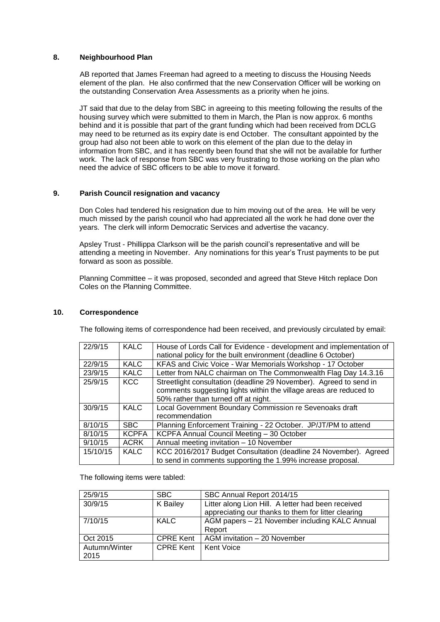# **8. Neighbourhood Plan**

AB reported that James Freeman had agreed to a meeting to discuss the Housing Needs element of the plan. He also confirmed that the new Conservation Officer will be working on the outstanding Conservation Area Assessments as a priority when he joins.

JT said that due to the delay from SBC in agreeing to this meeting following the results of the housing survey which were submitted to them in March, the Plan is now approx. 6 months behind and it is possible that part of the grant funding which had been received from DCLG may need to be returned as its expiry date is end October. The consultant appointed by the group had also not been able to work on this element of the plan due to the delay in information from SBC, and it has recently been found that she will not be available for further work. The lack of response from SBC was very frustrating to those working on the plan who need the advice of SBC officers to be able to move it forward.

# **9. Parish Council resignation and vacancy**

Don Coles had tendered his resignation due to him moving out of the area. He will be very much missed by the parish council who had appreciated all the work he had done over the years. The clerk will inform Democratic Services and advertise the vacancy.

Apsley Trust - Phillippa Clarkson will be the parish council's representative and will be attending a meeting in November. Any nominations for this year's Trust payments to be put forward as soon as possible.

Planning Committee – it was proposed, seconded and agreed that Steve Hitch replace Don Coles on the Planning Committee.

## **10. Correspondence**

The following items of correspondence had been received, and previously circulated by email:

| 22/9/15  | <b>KALC</b>  | House of Lords Call for Evidence - development and implementation of |  |
|----------|--------------|----------------------------------------------------------------------|--|
|          |              | national policy for the built environment (deadline 6 October)       |  |
| 22/9/15  | <b>KALC</b>  | KFAS and Civic Voice - War Memorials Workshop - 17 October           |  |
| 23/9/15  | <b>KALC</b>  | Letter from NALC chairman on The Commonwealth Flag Day 14.3.16       |  |
| 25/9/15  | <b>KCC</b>   | Streetlight consultation (deadline 29 November). Agreed to send in   |  |
|          |              | comments suggesting lights within the village areas are reduced to   |  |
|          |              | 50% rather than turned off at night.                                 |  |
| 30/9/15  | <b>KALC</b>  | Local Government Boundary Commission re Sevenoaks draft              |  |
|          |              | recommendation                                                       |  |
| 8/10/15  | <b>SBC</b>   | Planning Enforcement Training - 22 October. JP/JT/PM to attend       |  |
| 8/10/15  | <b>KCPFA</b> | KCPFA Annual Council Meeting - 30 October                            |  |
| 9/10/15  | <b>ACRK</b>  | Annual meeting invitation - 10 November                              |  |
| 15/10/15 | <b>KALC</b>  | KCC 2016/2017 Budget Consultation (deadline 24 November). Agreed     |  |
|          |              | to send in comments supporting the 1.99% increase proposal.          |  |

The following items were tabled:

| 25/9/15       | <b>SBC</b>       | SBC Annual Report 2014/15                           |
|---------------|------------------|-----------------------------------------------------|
| 30/9/15       | K Bailey         | Litter along Lion Hill. A letter had been received  |
|               |                  | appreciating our thanks to them for litter clearing |
| 7/10/15       | <b>KALC</b>      | AGM papers - 21 November including KALC Annual      |
|               |                  | Report                                              |
| Oct 2015      | <b>CPRE Kent</b> | AGM invitation - 20 November                        |
| Autumn/Winter | <b>CPRE Kent</b> | <b>Kent Voice</b>                                   |
| 2015          |                  |                                                     |